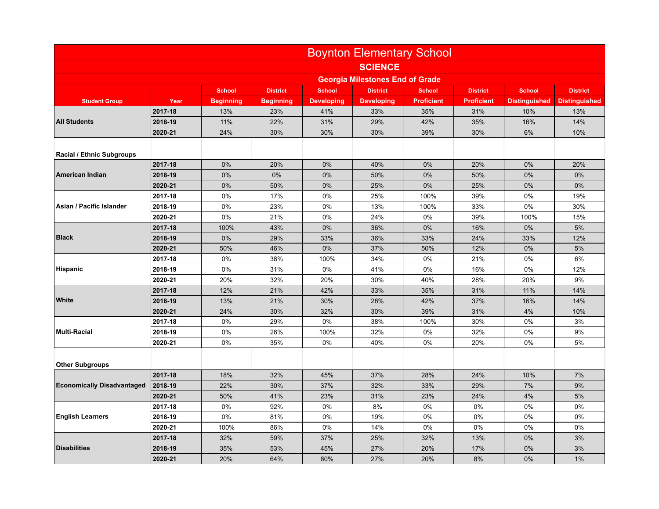|                                   | <b>Boynton Elementary School</b>       |                  |                  |                   |                   |                   |                   |                      |                      |
|-----------------------------------|----------------------------------------|------------------|------------------|-------------------|-------------------|-------------------|-------------------|----------------------|----------------------|
|                                   | <b>SCIENCE</b>                         |                  |                  |                   |                   |                   |                   |                      |                      |
|                                   | <b>Georgia Milestones End of Grade</b> |                  |                  |                   |                   |                   |                   |                      |                      |
|                                   |                                        | <b>School</b>    | <b>District</b>  | <b>School</b>     | <b>District</b>   | <b>School</b>     | <b>District</b>   | <b>School</b>        | <b>District</b>      |
| <b>Student Group</b>              | Year                                   | <b>Beginning</b> | <b>Beginning</b> | <b>Developing</b> | <b>Developing</b> | <b>Proficient</b> | <b>Proficient</b> | <b>Distinguished</b> | <b>Distinguished</b> |
| <b>All Students</b>               | 2017-18                                | 13%              | 23%              | 41%               | 33%               | 35%               | 31%               | 10%                  | 13%                  |
|                                   | 2018-19                                | 11%              | 22%              | 31%               | 29%               | 42%               | 35%               | 16%                  | 14%                  |
|                                   | 2020-21                                | 24%              | 30%              | 30%               | 30%               | 39%               | 30%               | 6%                   | 10%                  |
| <b>Racial / Ethnic Subgroups</b>  |                                        |                  |                  |                   |                   |                   |                   |                      |                      |
|                                   | 2017-18                                | 0%               | 20%              | 0%                | 40%               | 0%                | 20%               | 0%                   | 20%                  |
| American Indian                   | 2018-19                                | 0%               | 0%               | 0%                | 50%               | 0%                | 50%               | 0%                   | 0%                   |
|                                   | 2020-21                                | 0%               | 50%              | 0%                | 25%               | 0%                | 25%               | 0%                   | 0%                   |
|                                   | 2017-18                                | 0%               | 17%              | 0%                | 25%               | 100%              | 39%               | 0%                   | 19%                  |
| Asian / Pacific Islander          | 2018-19                                | 0%               | 23%              | 0%                | 13%               | 100%              | 33%               | 0%                   | 30%                  |
|                                   | 2020-21                                | 0%               | 21%              | 0%                | 24%               | 0%                | 39%               | 100%                 | 15%                  |
|                                   | 2017-18                                | 100%             | 43%              | 0%                | 36%               | 0%                | 16%               | 0%                   | 5%                   |
| <b>Black</b>                      | 2018-19                                | 0%               | 29%              | 33%               | 36%               | 33%               | 24%               | 33%                  | 12%                  |
|                                   | 2020-21                                | 50%              | 46%              | 0%                | 37%               | 50%               | 12%               | 0%                   | 5%                   |
|                                   | 2017-18                                | 0%               | 38%              | 100%              | 34%               | 0%                | 21%               | 0%                   | 6%                   |
| <b>Hispanic</b>                   | 2018-19                                | 0%               | 31%              | 0%                | 41%               | 0%                | 16%               | 0%                   | 12%                  |
|                                   | 2020-21                                | 20%              | 32%              | 20%               | 30%               | 40%               | 28%               | 20%                  | 9%                   |
| <b>White</b>                      | 2017-18                                | 12%              | 21%              | 42%               | 33%               | 35%               | 31%               | 11%                  | 14%                  |
|                                   | 2018-19                                | 13%              | 21%              | 30%               | 28%               | 42%               | 37%               | 16%                  | 14%                  |
|                                   | 2020-21                                | 24%              | 30%              | 32%               | 30%               | 39%               | 31%               | 4%                   | 10%                  |
| <b>Multi-Racial</b>               | 2017-18                                | 0%               | 29%              | 0%                | 38%               | 100%              | 30%               | 0%                   | 3%                   |
|                                   | 2018-19                                | 0%               | 26%              | 100%              | 32%               | 0%                | 32%               | 0%                   | 9%                   |
|                                   | 2020-21                                | 0%               | 35%              | 0%                | 40%               | 0%                | 20%               | 0%                   | 5%                   |
| <b>Other Subgroups</b>            |                                        |                  |                  |                   |                   |                   |                   |                      |                      |
|                                   | 2017-18                                | 18%              | 32%              | 45%               | 37%               | 28%               | 24%               | 10%                  | 7%                   |
| <b>Economically Disadvantaged</b> | 2018-19                                | 22%              | 30%              | 37%               | 32%               | 33%               | 29%               | 7%                   | 9%                   |
|                                   | 2020-21                                | 50%              | 41%              | 23%               | 31%               | 23%               | 24%               | 4%                   | 5%                   |
| <b>English Learners</b>           | 2017-18                                | 0%               | 92%              | 0%                | 8%                | 0%                | 0%                | 0%                   | 0%                   |
|                                   | 2018-19                                | 0%               | 81%              | 0%                | 19%               | 0%                | 0%                | 0%                   | 0%                   |
|                                   | 2020-21                                | 100%             | 86%              | $0\%$             | 14%               | 0%                | 0%                | 0%                   | 0%                   |
|                                   | 2017-18                                | 32%              | 59%              | 37%               | 25%               | 32%               | 13%               | 0%                   | 3%                   |
| <b>Disabilities</b>               | 2018-19                                | 35%              | 53%              | 45%               | 27%               | 20%               | 17%               | 0%                   | 3%                   |
|                                   | 2020-21                                | 20%              | 64%              | 60%               | 27%               | 20%               | 8%                | 0%                   | 1%                   |